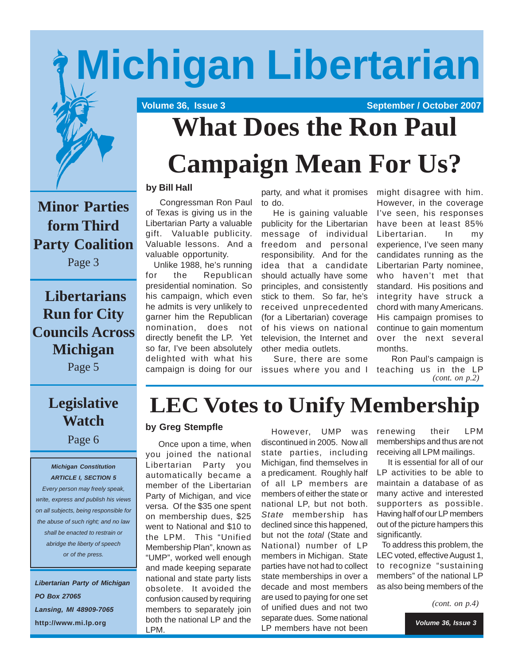# **Michigan Libertarian**



 **Volume 36, Issue 3 September / October 2007** 

# **What Does the Ron Paul Campaign Mean For Us?**

**Minor Parties form Third Party Coalition**

Page 3

## **Libertarians Run for City Councils Across Michigan**

Page 5

## **Legislative Watch**

Page 6

#### *Michigan Constitution ARTICLE I, SECTION 5*

*Every person may freely speak, write, express and publish his views on all subjects, being responsible for the abuse of such right; and no law shall be enacted to restrain or abridge the liberty of speech or of the press.*

*Libertarian Party of Michigan PO Box 27065 Lansing, MI 48909-7065* **http://www.mi.lp.org**

### **by Bill Hall**

 Congressman Ron Paul of Texas is giving us in the Libertarian Party a valuable gift. Valuable publicity. Valuable lessons. And a valuable opportunity.

 Unlike 1988, he's running for the Republican presidential nomination. So his campaign, which even he admits is very unlikely to garner him the Republican nomination, does not directly benefit the LP. Yet so far, I've been absolutely delighted with what his campaign is doing for our

party, and what it promises to do.

 He is gaining valuable publicity for the Libertarian message of individual freedom and personal responsibility. And for the idea that a candidate should actually have some principles, and consistently stick to them. So far, he's received unprecedented (for a Libertarian) coverage of his views on national television, the Internet and other media outlets.

 Sure, there are some issues where you and I might disagree with him. However, in the coverage I've seen, his responses have been at least 85% Libertarian. In my experience, I've seen many candidates running as the Libertarian Party nominee, who haven't met that standard. His positions and integrity have struck a chord with many Americans. His campaign promises to continue to gain momentum over the next several months.

 Ron Paul's campaign is teaching us in the LP *(cont. on p.2)*

## **LEC Votes to Unify Membership**

## **by Greg Stempfle**

 Once upon a time, when you joined the national Libertarian Party you automatically became a member of the Libertarian Party of Michigan, and vice versa. Of the \$35 one spent on membership dues, \$25 went to National and \$10 to the LPM. This "Unified Membership Plan", known as "UMP", worked well enough and made keeping separate national and state party lists obsolete. It avoided the confusion caused by requiring members to separately join both the national LP and the LPM.

 However, UMP was discontinued in 2005. Now all state parties, including Michigan, find themselves in a predicament. Roughly half of all LP members are members of either the state or national LP, but not both. *State* membership has declined since this happened, but not the *total* (State and National) number of LP members in Michigan. State parties have not had to collect state memberships in over a decade and most members are used to paying for one set of unified dues and not two separate dues. Some national LP members have not been

renewing their LPM memberships and thus are not receiving all LPM mailings.

 It is essential for all of our LP activities to be able to maintain a database of as many active and interested supporters as possible. Having half of our LP members out of the picture hampers this significantly.

 To address this problem, the LEC voted, effective August 1, to recognize "sustaining members" of the national LP as also being members of the

*(cont. on p.4)*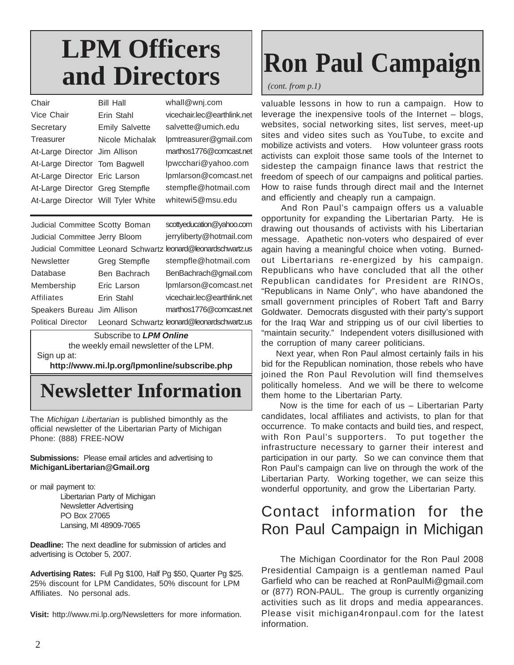# **LPM Officers and Directors**

| Chair                              | <b>Bill Hall</b>      | whall@wnj.com               |
|------------------------------------|-----------------------|-----------------------------|
| Vice Chair                         | Erin Stahl            | vicechair.lec@earthlink.net |
| Secretary                          | <b>Emily Salvette</b> | salvette@umich.edu          |
| Treasurer                          | Nicole Michalak       | lpmtreasurer@gmail.com      |
| At-Large Director Jim Allison      |                       | marthos1776@comcast.net     |
| At-Large Director Tom Bagwell      |                       | lpwcchari@yahoo.com         |
| At-Large Director Eric Larson      |                       | lpmlarson@comcast.net       |
| At-Large Director Greg Stempfle    |                       | stempfle@hotmail.com        |
| At-Large Director Will Tyler White |                       | whitewi5@msu.edu            |
|                                    |                       |                             |
| Judicial Committee Scotty Boman    |                       | scottyeducation@yahoo.com   |

| Judicial Committee Jerry Bloom |               | jerryliberty@hotmail.com                                       |
|--------------------------------|---------------|----------------------------------------------------------------|
|                                |               | Judicial Committee Leonard Schwartz leonard@leonardschwartz.us |
| Newsletter                     | Greg Stempfle | stempfle@hotmail.com                                           |
| Database                       | Ben Bachrach  | BenBachrach@gmail.com                                          |
| Membership                     | Eric Larson   | lpmlarson@comcast.net                                          |
| Affiliates                     | Erin Stahl    | vicechair.lec@earthlink.net                                    |
| Speakers Bureau Jim Allison    |               | marthos1776@comcast.net                                        |
| Political Director             |               | Leonard Schwartz leonard@leonardschwartz.us                    |

Subscribe to *LPM Online* the weekly email newsletter of the LPM. Sign up at:

**http://www.mi.lp.org/lpmonline/subscribe.php**

## **Newsletter Information**

The *Michigan Libertarian* is published bimonthly as the official newsletter of the Libertarian Party of Michigan Phone: (888) FREE-NOW

#### **Submissions:** Please email articles and advertising to **MichiganLibertarian@Gmail.org**

or mail payment to:

Libertarian Party of Michigan Newsletter Advertising PO Box 27065 Lansing, MI 48909-7065

**Deadline:** The next deadline for submission of articles and advertising is October 5, 2007.

**Advertising Rates:** Full Pg \$100, Half Pg \$50, Quarter Pg \$25. 25% discount for LPM Candidates, 50% discount for LPM Affiliates. No personal ads.

**Visit:** http://www.mi.lp.org/Newsletters for more information.

# **Ron Paul Campaign**

*(cont. from p.1)*

valuable lessons in how to run a campaign. How to leverage the inexpensive tools of the Internet – blogs, websites, social networking sites, list serves, meet-up sites and video sites such as YouTube, to excite and mobilize activists and voters. How volunteer grass roots activists can exploit those same tools of the Internet to sidestep the campaign finance laws that restrict the freedom of speech of our campaigns and political parties. How to raise funds through direct mail and the Internet and efficiently and cheaply run a campaign.

 And Ron Paul's campaign offers us a valuable opportunity for expanding the Libertarian Party. He is drawing out thousands of activists with his Libertarian message. Apathetic non-voters who despaired of ever again having a meaningful choice when voting. Burnedout Libertarians re-energized by his campaign. Republicans who have concluded that all the other Republican candidates for President are RINOs, "Republicans in Name Only", who have abandoned the small government principles of Robert Taft and Barry Goldwater. Democrats disgusted with their party's support for the Iraq War and stripping us of our civil liberties to "maintain security." Independent voters disillusioned with the corruption of many career politicians.

 Next year, when Ron Paul almost certainly fails in his bid for the Republican nomination, those rebels who have joined the Ron Paul Revolution will find themselves politically homeless. And we will be there to welcome them home to the Libertarian Party.

 Now is the time for each of us – Libertarian Party candidates, local affiliates and activists, to plan for that occurrence. To make contacts and build ties, and respect, with Ron Paul's supporters. To put together the infrastructure necessary to garner their interest and participation in our party. So we can convince them that Ron Paul's campaign can live on through the work of the Libertarian Party. Working together, we can seize this wonderful opportunity, and grow the Libertarian Party.

## Contact information for the Ron Paul Campaign in Michigan

 The Michigan Coordinator for the Ron Paul 2008 Presidential Campaign is a gentleman named Paul Garfield who can be reached at RonPaulMi@gmail.com or (877) RON-PAUL. The group is currently organizing activities such as lit drops and media appearances. Please visit michigan4ronpaul.com for the latest information.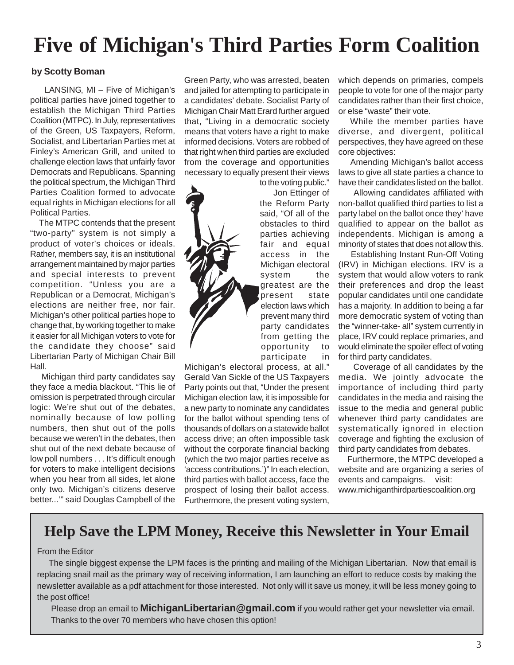## **Five of Michigan's Third Parties Form Coalition**

## **by Scotty Boman**

 LANSING, MI – Five of Michigan's political parties have joined together to establish the Michigan Third Parties Coalition (MTPC). In July, representatives of the Green, US Taxpayers, Reform, Socialist, and Libertarian Parties met at Finley's American Grill, and united to challenge election laws that unfairly favor Democrats and Republicans. Spanning the political spectrum, the Michigan Third Parties Coalition formed to advocate equal rights in Michigan elections for all Political Parties.

 The MTPC contends that the present "two-party" system is not simply a product of voter's choices or ideals. Rather, members say, it is an institutional arrangement maintained by major parties and special interests to prevent competition. "Unless you are a Republican or a Democrat, Michigan's elections are neither free, nor fair. Michigan's other political parties hope to change that, by working together to make it easier for all Michigan voters to vote for the candidate they choose" said Libertarian Party of Michigan Chair Bill Hall.

 Michigan third party candidates say they face a media blackout. "This lie of omission is perpetrated through circular logic: We're shut out of the debates, nominally because of low polling numbers, then shut out of the polls because we weren't in the debates, then shut out of the next debate because of low poll numbers . . . It's difficult enough for voters to make intelligent decisions when you hear from all sides, let alone only two. Michigan's citizens deserve better...'" said Douglas Campbell of the

Green Party, who was arrested, beaten and jailed for attempting to participate in a candidates' debate. Socialist Party of Michigan Chair Matt Erard further argued that, "Living in a democratic society means that voters have a right to make informed decisions. Voters are robbed of that right when third parties are excluded from the coverage and opportunities necessary to equally present their views

to the voting public." Jon Ettinger of the Reform Party said, "Of all of the obstacles to third parties achieving fair and equal access in the Michigan electoral system the greatest are the present state election laws which prevent many third party candidates from getting the opportunity to participate in

Michigan's electoral process, at all." Gerald Van Sickle of the US Taxpayers Party points out that, "Under the present Michigan election law, it is impossible for a new party to nominate any candidates for the ballot without spending tens of thousands of dollars on a statewide ballot access drive; an often impossible task without the corporate financial backing (which the two major parties receive as 'access contributions.')" In each election, third parties with ballot access, face the prospect of losing their ballot access. Furthermore, the present voting system,

which depends on primaries, compels people to vote for one of the major party candidates rather than their first choice, or else "waste" their vote.

 While the member parties have diverse, and divergent, political perspectives, they have agreed on these core objectives:

 Amending Michigan's ballot access laws to give all state parties a chance to have their candidates listed on the ballot.

 Allowing candidates affiliated with non-ballot qualified third parties to list a party label on the ballot once they' have qualified to appear on the ballot as independents. Michigan is among a minority of states that does not allow this.

 Establishing Instant Run-Off Voting (IRV) in Michigan elections. IRV is a system that would allow voters to rank their preferences and drop the least popular candidates until one candidate has a majority. In addition to being a far more democratic system of voting than the "winner-take- all" system currently in place, IRV could replace primaries, and would eliminate the spoiler effect of voting for third party candidates.

 Coverage of all candidates by the media. We jointly advocate the importance of including third party candidates in the media and raising the issue to the media and general public whenever third party candidates are systematically ignored in election coverage and fighting the exclusion of third party candidates from debates.

 Furthermore, the MTPC developed a website and are organizing a series of events and campaigns. visit: www.michiganthirdpartiescoalition.org

## **Help Save the LPM Money, Receive this Newsletter in Your Email**

### From the Editor

 The single biggest expense the LPM faces is the printing and mailing of the Michigan Libertarian. Now that email is replacing snail mail as the primary way of receiving information, I am launching an effort to reduce costs by making the newsletter available as a pdf attachment for those interested. Not only will it save us money, it will be less money going to the post office!

 Please drop an email to **MichiganLibertarian@gmail.com** if you would rather get your newsletter via email. Thanks to the over 70 members who have chosen this option!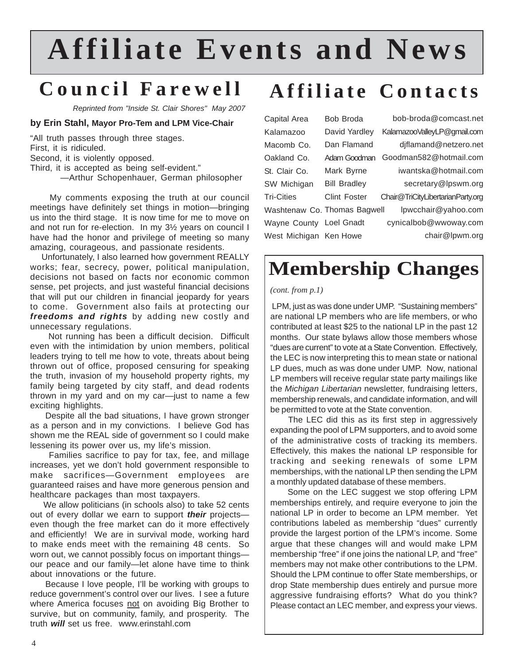# **Affiliate Events and News**

## **Council Farewell**

*Reprinted from "Inside St. Clair Shores" May 2007*

#### **by Erin Stahl, Mayor Pro-Tem and LPM Vice-Chair**

"All truth passes through three stages.

First, it is ridiculed.

Second, it is violently opposed.

Third, it is accepted as being self-evident."

—Arthur Schopenhauer, German philosopher

 My comments exposing the truth at our council meetings have definitely set things in motion—bringing us into the third stage. It is now time for me to move on and not run for re-election. In my 3½ years on council I have had the honor and privilege of meeting so many amazing, courageous, and passionate residents.

 Unfortunately, I also learned how government REALLY works; fear, secrecy, power, political manipulation, decisions not based on facts nor economic common sense, pet projects, and just wasteful financial decisions that will put our children in financial jeopardy for years to come. Government also fails at protecting our *freedoms and rights* by adding new costly and unnecessary regulations.

 Not running has been a difficult decision. Difficult even with the intimidation by union members, political leaders trying to tell me how to vote, threats about being thrown out of office, proposed censuring for speaking the truth, invasion of my household property rights, my family being targeted by city staff, and dead rodents thrown in my yard and on my car—just to name a few exciting highlights.

 Despite all the bad situations, I have grown stronger as a person and in my convictions. I believe God has shown me the REAL side of government so I could make lessening its power over us, my life's mission.

 Families sacrifice to pay for tax, fee, and millage increases, yet we don't hold government responsible to make sacrifices—Government employees are guaranteed raises and have more generous pension and healthcare packages than most taxpayers.

 We allow politicians (in schools also) to take 52 cents out of every dollar we earn to support *their* projects even though the free market can do it more effectively and efficiently! We are in survival mode, working hard to make ends meet with the remaining 48 cents. So worn out, we cannot possibly focus on important things our peace and our family—let alone have time to think about innovations or the future.

 Because I love people, I'll be working with groups to reduce government's control over our lives. I see a future where America focuses not on avoiding Big Brother to survive, but on community, family, and prosperity. The truth *will* set us free. www.erinstahl.com

## **Affiliate Contacts**

Capital Area Kalamazoo Macomb Co. Oakland Co. St. Clair Co. SW Michigan Tri-Cities Washtenaw Co. Thomas Bagwell Wayne County Loel Gnadt West Michigan Ken Howe Bob Broda David Yardley Dan Flamand Mark Byrne Bill Bradley Clint Foster

Adam Goodman Goodman582@hotmail.com bob-broda@comcast.net KalamazooValleyLP@gmail.com djflamand@netzero.net iwantska@hotmail.com secretary@lpswm.org Chair@TriCityLibertarianParty.org lpwcchair@yahoo.com cynicalbob@wwoway.com chair@lpwm.org

## **Membership Changes**

#### *(cont. from p.1)*

 LPM, just as was done under UMP. "Sustaining members" are national LP members who are life members, or who contributed at least \$25 to the national LP in the past 12 months. Our state bylaws allow those members whose "dues are current" to vote at a State Convention. Effectively, the LEC is now interpreting this to mean state or national LP dues, much as was done under UMP. Now, national LP members will receive regular state party mailings like the *Michigan Libertarian* newsletter, fundraising letters, membership renewals, and candidate information, and will be permitted to vote at the State convention.

 The LEC did this as its first step in aggressively expanding the pool of LPM supporters, and to avoid some of the administrative costs of tracking its members. Effectively, this makes the national LP responsible for tracking and seeking renewals of some LPM memberships, with the national LP then sending the LPM a monthly updated database of these members.

 Some on the LEC suggest we stop offering LPM memberships entirely, and require everyone to join the national LP in order to become an LPM member. Yet contributions labeled as membership "dues" currently provide the largest portion of the LPM's income. Some argue that these changes will and would make LPM membership "free" if one joins the national LP, and "free" members may not make other contributions to the LPM. Should the LPM continue to offer State memberships, or drop State membership dues entirely and pursue more aggressive fundraising efforts? What do you think? Please contact an LEC member, and express your views.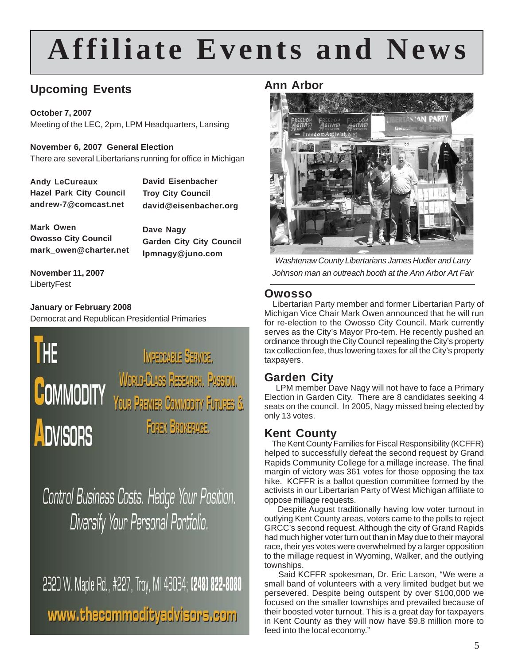# **Affiliate Events and News**

## **Upcoming Events**

**October 7, 2007** Meeting of the LEC, 2pm, LPM Headquarters, Lansing

**November 6, 2007 General Election** There are several Libertarians running for office in Michigan

**Andy LeCureaux Hazel Park City Council andrew-7@comcast.net**

**David Eisenbacher Troy City Council david@eisenbacher.org**

**Mark Owen Owosso City Council mark\_owen@charter.net**

**Dave Nagy Garden City City Council lpmnagy@juno.com**

**November 11, 2007** LibertyFest

**January or February 2008** Democrat and Republican Presidential Primaries



Control Business Costs. Hedge Your Position. Diversify Your Personal Portfolio.

2820 W. Maple Rd., #227, Troy, MI 48084; (248) 822-8080 www.thecommodityadvisors.com

## **Ann Arbor**



*Washtenaw County Libertarians James Hudler and Larry Johnson man an outreach booth at the Ann Arbor Art Fair*

## **Owosso**

 Libertarian Party member and former Libertarian Party of Michigan Vice Chair Mark Owen announced that he will run for re-election to the Owosso City Council. Mark currently serves as the City's Mayor Pro-tem. He recently pushed an ordinance through the City Council repealing the City's property tax collection fee, thus lowering taxes for all the City's property taxpayers.

## **Garden City**

 LPM member Dave Nagy will not have to face a Primary Election in Garden City. There are 8 candidates seeking 4 seats on the council. In 2005, Nagy missed being elected by only 13 votes.

## **Kent County**

 The Kent County Families for Fiscal Responsibility (KCFFR) helped to successfully defeat the second request by Grand Rapids Community College for a millage increase. The final margin of victory was 361 votes for those opposing the tax hike. KCFFR is a ballot question committee formed by the activists in our Libertarian Party of West Michigan affiliate to oppose millage requests.

 Despite August traditionally having low voter turnout in outlying Kent County areas, voters came to the polls to reject GRCC's second request. Although the city of Grand Rapids had much higher voter turn out than in May due to their mayoral race, their yes votes were overwhelmed by a larger opposition to the millage request in Wyoming, Walker, and the outlying townships.

 Said KCFFR spokesman, Dr. Eric Larson, "We were a small band of volunteers with a very limited budget but we persevered. Despite being outspent by over \$100,000 we focused on the smaller townships and prevailed because of their boosted voter turnout. This is a great day for taxpayers in Kent County as they will now have \$9.8 million more to feed into the local economy."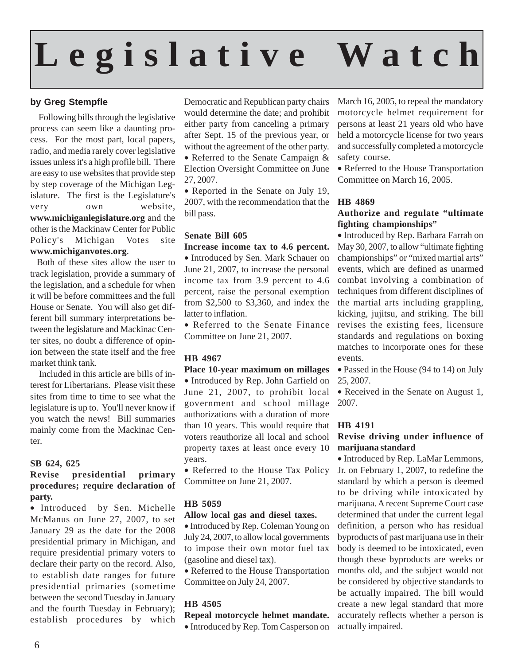# **Legislative Watch**

## **by Greg Stempfle**

 Following bills through the legislative process can seem like a daunting process. For the most part, local papers, radio, and media rarely cover legislative issues unless it's a high profile bill. There are easy to use websites that provide step by step coverage of the Michigan Legislature. The first is the Legislature's very own website, **www.michiganlegislature.org** and the other is the Mackinaw Center for Public Policy's Michigan Votes site **www.michiganvotes.org**.

 Both of these sites allow the user to track legislation, provide a summary of the legislation, and a schedule for when it will be before committees and the full House or Senate. You will also get different bill summary interpretations between the legislature and Mackinac Center sites, no doubt a difference of opinion between the state itself and the free market think tank.

 Included in this article are bills of interest for Libertarians. Please visit these sites from time to time to see what the legislature is up to. You'll never know if you watch the news! Bill summaries mainly come from the Mackinac Center.

### **SB 624, 625**

### **Revise presidential primary procedures; require declaration of party.**

• Introduced by Sen. Michelle McManus on June 27, 2007, to set January 29 as the date for the 2008 presidential primary in Michigan, and require presidential primary voters to declare their party on the record. Also, to establish date ranges for future presidential primaries (sometime between the second Tuesday in January and the fourth Tuesday in February); establish procedures by which Democratic and Republican party chairs would determine the date; and prohibit either party from canceling a primary after Sept. 15 of the previous year, or without the agreement of the other party. • Referred to the Senate Campaign &

Election Oversight Committee on June 27, 2007.

• Reported in the Senate on July 19, 2007, with the recommendation that the **HB 4869** bill pass.

## **Senate Bill 605**

**Increase income tax to 4.6 percent.** • Introduced by Sen. Mark Schauer on June 21, 2007, to increase the personal income tax from 3.9 percent to 4.6 percent, raise the personal exemption from \$2,500 to \$3,360, and index the latter to inflation.

• Referred to the Senate Finance Committee on June 21, 2007.

## **HB 4967**

#### **Place 10-year maximum on millages**

• Introduced by Rep. John Garfield on June 21, 2007, to prohibit local government and school millage authorizations with a duration of more than 10 years. This would require that voters reauthorize all local and school property taxes at least once every 10 years.

• Referred to the House Tax Policy Committee on June 21, 2007.

## **HB 5059**

### **Allow local gas and diesel taxes.**

• Introduced by Rep. Coleman Young on July 24, 2007, to allow local governments to impose their own motor fuel tax (gasoline and diesel tax).

• Referred to the House Transportation Committee on July 24, 2007.

## **HB 4505**

#### **Repeal motorcycle helmet mandate.** • Introduced by Rep. Tom Casperson on

March 16, 2005, to repeal the mandatory motorcycle helmet requirement for persons at least 21 years old who have held a motorcycle license for two years and successfully completed a motorcycle safety course.

• Referred to the House Transportation Committee on March 16, 2005.

## **Authorize and regulate "ultimate fighting championships"**

• Introduced by Rep. Barbara Farrah on May 30, 2007, to allow "ultimate fighting championships" or "mixed martial arts" events, which are defined as unarmed combat involving a combination of techniques from different disciplines of the martial arts including grappling, kicking, jujitsu, and striking. The bill revises the existing fees, licensure standards and regulations on boxing matches to incorporate ones for these events.

• Passed in the House (94 to 14) on July 25, 2007.

• Received in the Senate on August 1, 2007.

### **HB 4191**

## **Revise driving under influence of marijuana standard**

• Introduced by Rep. LaMar Lemmons, Jr. on February 1, 2007, to redefine the standard by which a person is deemed to be driving while intoxicated by marijuana. A recent Supreme Court case determined that under the current legal definition, a person who has residual byproducts of past marijuana use in their body is deemed to be intoxicated, even though these byproducts are weeks or months old, and the subject would not be considered by objective standards to be actually impaired. The bill would create a new legal standard that more accurately reflects whether a person is actually impaired.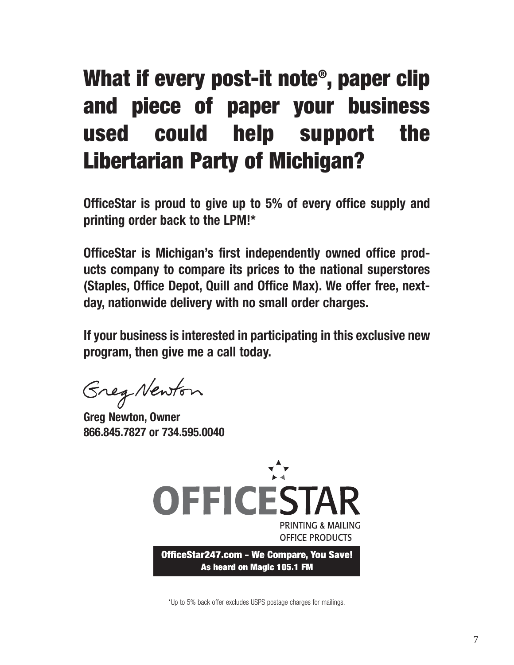# **What if every post-it note®, paper clip and piece of paper your business used could help support the Libertarian Party of Michigan?**

**OfficeStar is proud to give up to 5% of every office supply and printing order back to the LPM!\*** 

**OfficeStar is Michigan's first independently owned office products company to compare its prices to the national superstores (Staples, Office Depot, Quill and Office Max). We offer free, nextday, nationwide delivery with no small order charges.**

**If your business is interested in participating in this exclusive new program, then give me a call today.**

Greg Newton

**Greg Newton, Owner 866.845.7827 or 734.595.0040**



\*Up to 5% back offer excludes USPS postage charges for mailings.